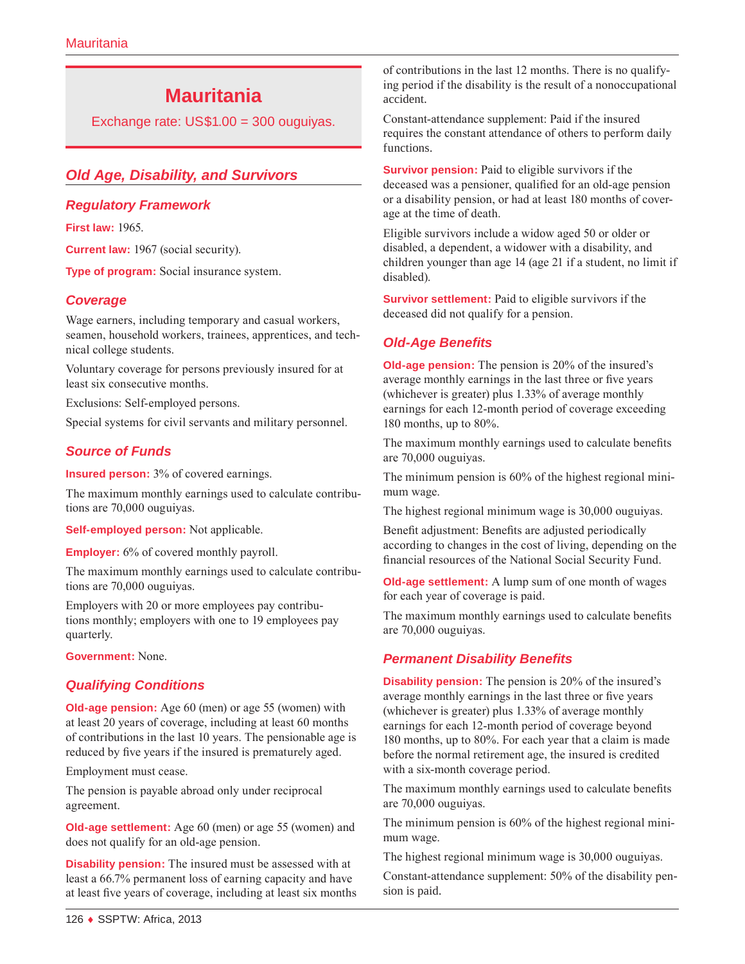# **Mauritania**

Exchange rate: US\$1.00 = 300 ouguiyas.

# *Old Age, Disability, and Survivors*

#### *Regulatory Framework*

**First law:** 1965.

**Current law:** 1967 (social security).

**Type of program:** Social insurance system.

## *Coverage*

Wage earners, including temporary and casual workers, seamen, household workers, trainees, apprentices, and technical college students.

Voluntary coverage for persons previously insured for at least six consecutive months.

Exclusions: Self-employed persons.

Special systems for civil servants and military personnel.

## *Source of Funds*

**Insured person:** 3% of covered earnings.

The maximum monthly earnings used to calculate contributions are 70,000 ouguiyas.

**Self-employed person:** Not applicable.

**Employer:** 6% of covered monthly payroll.

The maximum monthly earnings used to calculate contributions are 70,000 ouguiyas.

Employers with 20 or more employees pay contributions monthly; employers with one to 19 employees pay quarterly.

**Government:** None.

# *Qualifying Conditions*

**Old-age pension:** Age 60 (men) or age 55 (women) with at least 20 years of coverage, including at least 60 months of contributions in the last 10 years. The pensionable age is reduced by five years if the insured is prematurely aged.

Employment must cease.

The pension is payable abroad only under reciprocal agreement.

**Old-age settlement:** Age 60 (men) or age 55 (women) and does not qualify for an old-age pension.

**Disability pension:** The insured must be assessed with at least a 66.7% permanent loss of earning capacity and have at least five years of coverage, including at least six months of contributions in the last 12 months. There is no qualifying period if the disability is the result of a nonoccupational accident.

Constant-attendance supplement: Paid if the insured requires the constant attendance of others to perform daily functions.

**Survivor pension:** Paid to eligible survivors if the deceased was a pensioner, qualified for an old-age pension or a disability pension, or had at least 180 months of coverage at the time of death.

Eligible survivors include a widow aged 50 or older or disabled, a dependent, a widower with a disability, and children younger than age 14 (age 21 if a student, no limit if disabled).

**Survivor settlement:** Paid to eligible survivors if the deceased did not qualify for a pension.

#### *Old-Age Benefits*

**Old-age pension:** The pension is 20% of the insured's average monthly earnings in the last three or five years (whichever is greater) plus 1.33% of average monthly earnings for each 12-month period of coverage exceeding 180 months, up to 80%.

The maximum monthly earnings used to calculate benefits are 70,000 ouguiyas.

The minimum pension is 60% of the highest regional minimum wage.

The highest regional minimum wage is 30,000 ouguiyas.

Benefit adjustment: Benefits are adjusted periodically according to changes in the cost of living, depending on the financial resources of the National Social Security Fund.

**Old-age settlement:** A lump sum of one month of wages for each year of coverage is paid.

The maximum monthly earnings used to calculate benefits are 70,000 ouguiyas.

## *Permanent Disability Benefits*

**Disability pension:** The pension is 20% of the insured's average monthly earnings in the last three or five years (whichever is greater) plus 1.33% of average monthly earnings for each 12-month period of coverage beyond 180 months, up to 80%. For each year that a claim is made before the normal retirement age, the insured is credited with a six-month coverage period.

The maximum monthly earnings used to calculate benefits are 70,000 ouguiyas.

The minimum pension is 60% of the highest regional minimum wage.

The highest regional minimum wage is 30,000 ouguiyas.

Constant-attendance supplement: 50% of the disability pension is paid.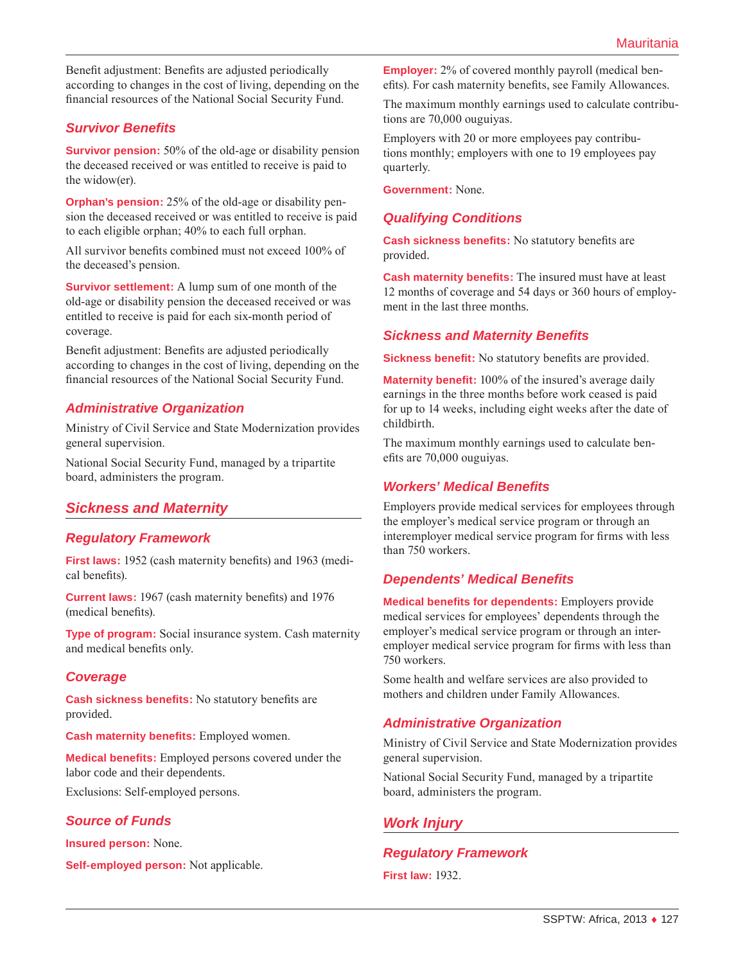Benefit adjustment: Benefits are adjusted periodically according to changes in the cost of living, depending on the financial resources of the National Social Security Fund.

## *Survivor Benefits*

**Survivor pension:** 50% of the old-age or disability pension the deceased received or was entitled to receive is paid to the widow(er).

**Orphan's pension:** 25% of the old-age or disability pension the deceased received or was entitled to receive is paid to each eligible orphan; 40% to each full orphan.

All survivor benefits combined must not exceed 100% of the deceased's pension.

**Survivor settlement:** A lump sum of one month of the old-age or disability pension the deceased received or was entitled to receive is paid for each six-month period of coverage.

Benefit adjustment: Benefits are adjusted periodically according to changes in the cost of living, depending on the financial resources of the National Social Security Fund.

## *Administrative Organization*

Ministry of Civil Service and State Modernization provides general supervision.

National Social Security Fund, managed by a tripartite board, administers the program.

# *Sickness and Maternity*

#### *Regulatory Framework*

**First laws:** 1952 (cash maternity benefits) and 1963 (medical benefits).

**Current laws:** 1967 (cash maternity benefits) and 1976 (medical benefits).

**Type of program:** Social insurance system. Cash maternity and medical benefits only.

#### *Coverage*

**Cash sickness benefits:** No statutory benefits are provided.

**Cash maternity benefits:** Employed women.

**Medical benefits:** Employed persons covered under the labor code and their dependents.

Exclusions: Self-employed persons.

#### *Source of Funds*

**Insured person:** None.

**Self-employed person:** Not applicable.

**Employer:** 2% of covered monthly payroll (medical benefits). For cash maternity benefits, see Family Allowances.

The maximum monthly earnings used to calculate contributions are 70,000 ouguiyas.

Employers with 20 or more employees pay contributions monthly; employers with one to 19 employees pay quarterly.

**Government:** None.

#### *Qualifying Conditions*

**Cash sickness benefits:** No statutory benefits are provided.

**Cash maternity benefits:** The insured must have at least 12 months of coverage and 54 days or 360 hours of employment in the last three months.

#### *Sickness and Maternity Benefits*

**Sickness benefit:** No statutory benefits are provided.

**Maternity benefit:** 100% of the insured's average daily earnings in the three months before work ceased is paid for up to 14 weeks, including eight weeks after the date of childbirth.

The maximum monthly earnings used to calculate benefits are 70,000 ouguiyas.

#### *Workers' Medical Benefits*

Employers provide medical services for employees through the employer's medical service program or through an interemployer medical service program for firms with less than 750 workers.

## *Dependents' Medical Benefits*

**Medical benefits for dependents:** Employers provide medical services for employees' dependents through the employer's medical service program or through an interemployer medical service program for firms with less than 750 workers.

Some health and welfare services are also provided to mothers and children under Family Allowances.

## *Administrative Organization*

Ministry of Civil Service and State Modernization provides general supervision.

National Social Security Fund, managed by a tripartite board, administers the program.

## *Work Injury*

#### *Regulatory Framework*

**First law:** 1932.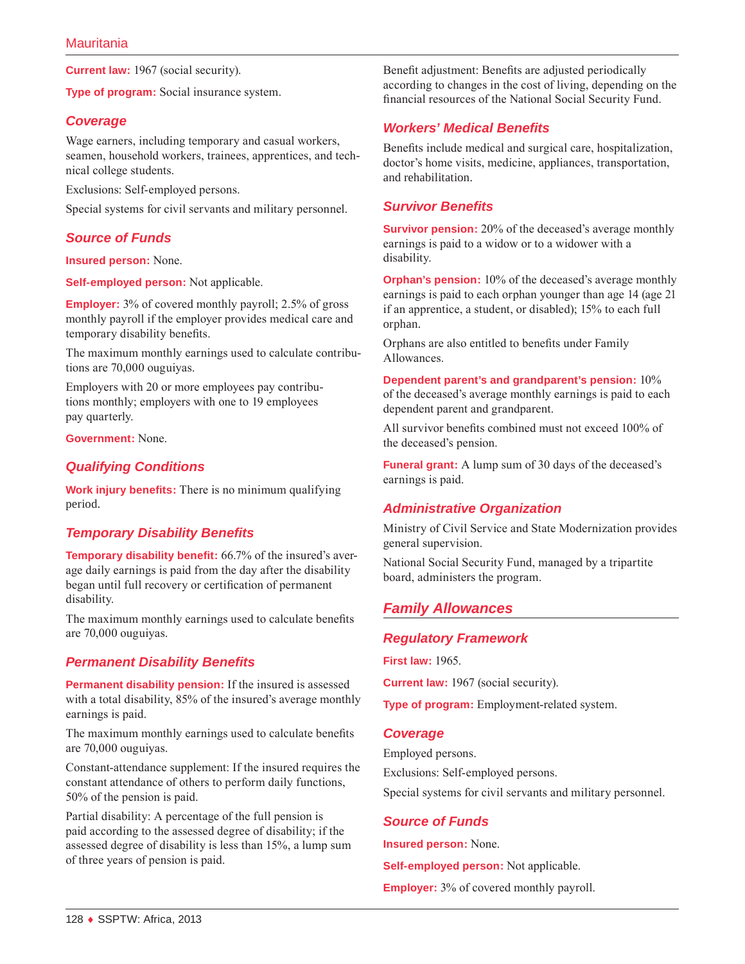**Current law:** 1967 (social security).

**Type of program:** Social insurance system.

#### *Coverage*

Wage earners, including temporary and casual workers, seamen, household workers, trainees, apprentices, and technical college students.

Exclusions: Self-employed persons.

Special systems for civil servants and military personnel.

## *Source of Funds*

**Insured person:** None.

**Self-employed person:** Not applicable.

**Employer:** 3% of covered monthly payroll; 2.5% of gross monthly payroll if the employer provides medical care and temporary disability benefits.

The maximum monthly earnings used to calculate contributions are 70,000 ouguiyas.

Employers with 20 or more employees pay contributions monthly; employers with one to 19 employees pay quarterly.

**Government:** None.

#### *Qualifying Conditions*

**Work injury benefits:** There is no minimum qualifying period.

## *Temporary Disability Benefits*

**Temporary disability benefit:** 66.7% of the insured's average daily earnings is paid from the day after the disability began until full recovery or certification of permanent disability.

The maximum monthly earnings used to calculate benefits are 70,000 ouguiyas.

#### *Permanent Disability Benefits*

**Permanent disability pension:** If the insured is assessed with a total disability, 85% of the insured's average monthly earnings is paid.

The maximum monthly earnings used to calculate benefits are 70,000 ouguiyas.

Constant-attendance supplement: If the insured requires the constant attendance of others to perform daily functions, 50% of the pension is paid.

Partial disability: A percentage of the full pension is paid according to the assessed degree of disability; if the assessed degree of disability is less than 15%, a lump sum of three years of pension is paid.

Benefit adjustment: Benefits are adjusted periodically according to changes in the cost of living, depending on the financial resources of the National Social Security Fund.

#### *Workers' Medical Benefits*

Benefits include medical and surgical care, hospitalization, doctor's home visits, medicine, appliances, transportation, and rehabilitation.

#### *Survivor Benefits*

**Survivor pension:** 20% of the deceased's average monthly earnings is paid to a widow or to a widower with a disability.

**Orphan's pension:** 10% of the deceased's average monthly earnings is paid to each orphan younger than age 14 (age 21 if an apprentice, a student, or disabled); 15% to each full orphan.

Orphans are also entitled to benefits under Family Allowances.

**Dependent parent's and grandparent's pension:** 10% of the deceased's average monthly earnings is paid to each dependent parent and grandparent.

All survivor benefits combined must not exceed 100% of the deceased's pension.

**Funeral grant:** A lump sum of 30 days of the deceased's earnings is paid.

## *Administrative Organization*

Ministry of Civil Service and State Modernization provides general supervision.

National Social Security Fund, managed by a tripartite board, administers the program.

# *Family Allowances*

#### *Regulatory Framework*

**First law:** 1965.

**Current law:** 1967 (social security).

**Type of program:** Employment-related system.

#### *Coverage*

Employed persons.

Exclusions: Self-employed persons.

Special systems for civil servants and military personnel.

## *Source of Funds*

**Insured person:** None.

**Self-employed person:** Not applicable.

**Employer:** 3% of covered monthly payroll.